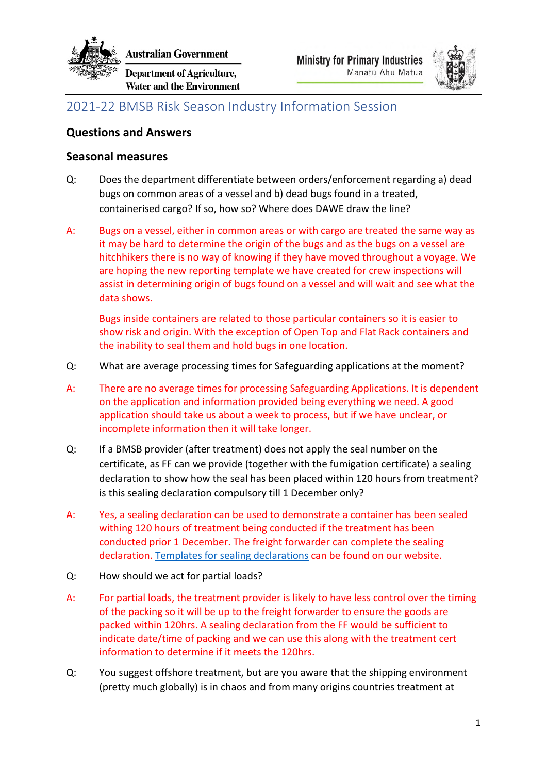

**ustralian Government** 

**Department of Agriculture, Water and the Environment** 



# 2021-22 BMSB Risk Season Industry Information Session

## **Questions and Answers**

### **Seasonal measures**

- Q: Does the department differentiate between orders/enforcement regarding a) dead bugs on common areas of a vessel and b) dead bugs found in a treated, containerised cargo? If so, how so? Where does DAWE draw the line?
- A: Bugs on a vessel, either in common areas or with cargo are treated the same way as it may be hard to determine the origin of the bugs and as the bugs on a vessel are hitchhikers there is no way of knowing if they have moved throughout a voyage. We are hoping the new reporting template we have created for crew inspections will assist in determining origin of bugs found on a vessel and will wait and see what the data shows.

Bugs inside containers are related to those particular containers so it is easier to show risk and origin. With the exception of Open Top and Flat Rack containers and the inability to seal them and hold bugs in one location.

- Q: What are average processing times for Safeguarding applications at the moment?
- A: There are no average times for processing Safeguarding Applications. It is dependent on the application and information provided being everything we need. A good application should take us about a week to process, but if we have unclear, or incomplete information then it will take longer.
- Q: If a BMSB provider (after treatment) does not apply the seal number on the certificate, as FF can we provide (together with the fumigation certificate) a sealing declaration to show how the seal has been placed within 120 hours from treatment? is this sealing declaration compulsory till 1 December only?
- A: Yes, a sealing declaration can be used to demonstrate a container has been sealed withing 120 hours of treatment being conducted if the treatment has been conducted prior 1 December. The freight forwarder can complete the sealing declaration. Templates for sealing declarations can be found on our website.
- Q: How should we act for partial loads?
- A: For partial loads, the treatment provider is likely to have less control over the timing of the packing so it will be up to the freight forwarder to ensure the goods are packed within 120hrs. A sealing declaration from the FF would be sufficient to indicate date/time of packing and we can use this along with the treatment cert information to determine if it meets the 120hrs.
- Q: You suggest offshore treatment, but are you aware that the shipping environment (pretty much globally) is in chaos and from many origins countries treatment at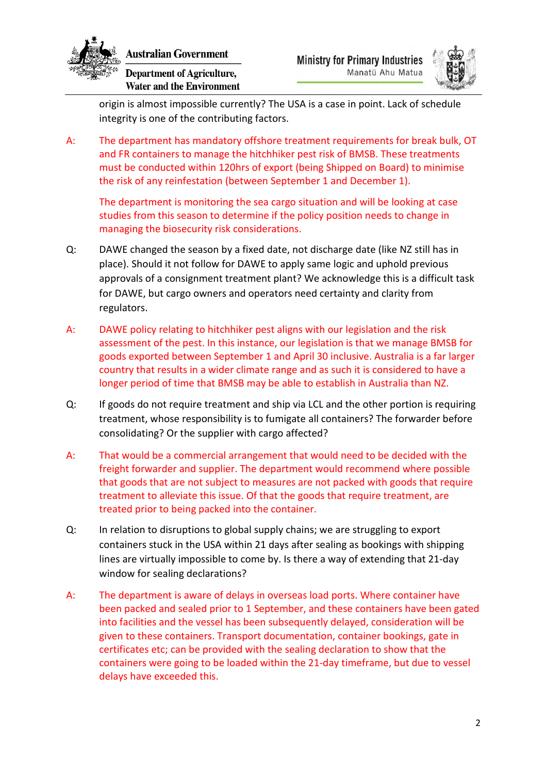

**Department of Agriculture, Water and the Environment** 



origin is almost impossible currently? The USA is a case in point. Lack of schedule integrity is one of the contributing factors.

A: The department has mandatory offshore treatment requirements for break bulk, OT and FR containers to manage the hitchhiker pest risk of BMSB. These treatments must be conducted within 120hrs of export (being Shipped on Board) to minimise the risk of any reinfestation (between September 1 and December 1).

The department is monitoring the sea cargo situation and will be looking at case studies from this season to determine if the policy position needs to change in managing the biosecurity risk considerations.

- Q: DAWE changed the season by a fixed date, not discharge date (like NZ still has in place). Should it not follow for DAWE to apply same logic and uphold previous approvals of a consignment treatment plant? We acknowledge this is a difficult task for DAWE, but cargo owners and operators need certainty and clarity from regulators.
- A: DAWE policy relating to hitchhiker pest aligns with our legislation and the risk assessment of the pest. In this instance, our legislation is that we manage BMSB for goods exported between September 1 and April 30 inclusive. Australia is a far larger country that results in a wider climate range and as such it is considered to have a longer period of time that BMSB may be able to establish in Australia than NZ.
- Q: If goods do not require treatment and ship via LCL and the other portion is requiring treatment, whose responsibility is to fumigate all containers? The forwarder before consolidating? Or the supplier with cargo affected?
- A: That would be a commercial arrangement that would need to be decided with the freight forwarder and supplier. The department would recommend where possible that goods that are not subject to measures are not packed with goods that require treatment to alleviate this issue. Of that the goods that require treatment, are treated prior to being packed into the container.
- Q: In relation to disruptions to global supply chains; we are struggling to export containers stuck in the USA within 21 days after sealing as bookings with shipping lines are virtually impossible to come by. Is there a way of extending that 21-day window for sealing declarations?
- A: The department is aware of delays in overseas load ports. Where container have been packed and sealed prior to 1 September, and these containers have been gated into facilities and the vessel has been subsequently delayed, consideration will be given to these containers. Transport documentation, container bookings, gate in certificates etc; can be provided with the sealing declaration to show that the containers were going to be loaded within the 21-day timeframe, but due to vessel delays have exceeded this.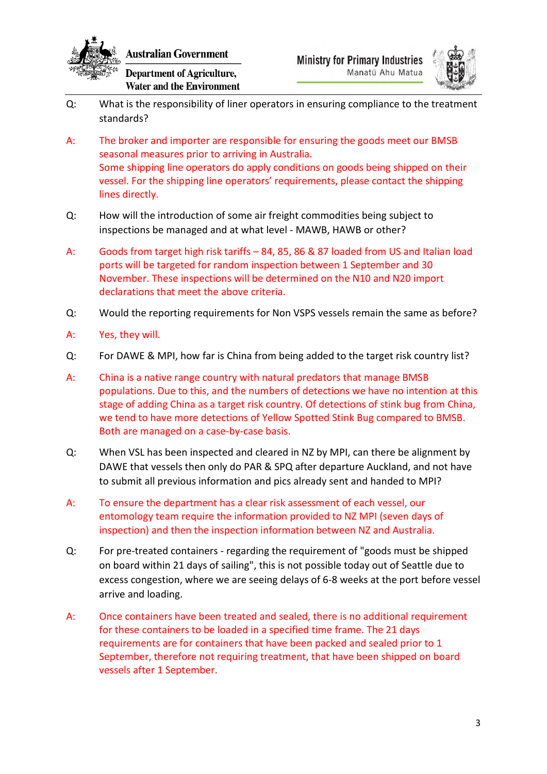

Department of Agriculture, **Water and the Environment** 



- Q: What is the responsibility of liner operators in ensuring compliance to the treatment standards?
- A: The broker and importer are responsible for ensuring the goods meet our BMSB seasonal measures prior to arriving in Australia. Some shipping line operators do apply conditions on goods being shipped on their vessel. For the shipping line operators' requirements, please contact the shipping lines directly.
- Q: How will the introduction of some air freight commodities being subject to inspections be managed and at what level - MAWB, HAWB or other?
- A: Goods from target high risk tariffs 84, 85, 86 & 87 loaded from US and Italian load ports will be targeted for random inspection between 1 September and 30 November. These inspections will be determined on the N10 and N20 import declarations that meet the above criteria.
- Q: Would the reporting requirements for Non VSPS vessels remain the same as before?
- A: Yes, they will.
- Q: For DAWE & MPI, how far is China from being added to the target risk country list?
- A: China is a native range country with natural predators that manage BMSB populations. Due to this, and the numbers of detections we have no intention at this stage of adding China as a target risk country. Of detections of stink bug from China, we tend to have more detections of Yellow Spotted Stink Bug compared to BMSB. Both are managed on a case-by-case basis.
- Q: When VSL has been inspected and cleared in NZ by MPI, can there be alignment by DAWE that vessels then only do PAR & SPQ after departure Auckland, and not have to submit all previous information and pics already sent and handed to MPI?
- A: To ensure the department has a clear risk assessment of each vessel, our entomology team require the information provided to NZ MPI (seven days of inspection) and then the inspection information between NZ and Australia.
- Q: For pre-treated containers regarding the requirement of "goods must be shipped on board within 21 days of sailing", this is not possible today out of Seattle due to excess congestion, where we are seeing delays of 6-8 weeks at the port before vessel arrive and loading.
- A: Once containers have been treated and sealed, there is no additional requirement for these containers to be loaded in a specified time frame. The 21 days requirements are for containers that have been packed and sealed prior to 1 September, therefore not requiring treatment, that have been shipped on board vessels after 1 September.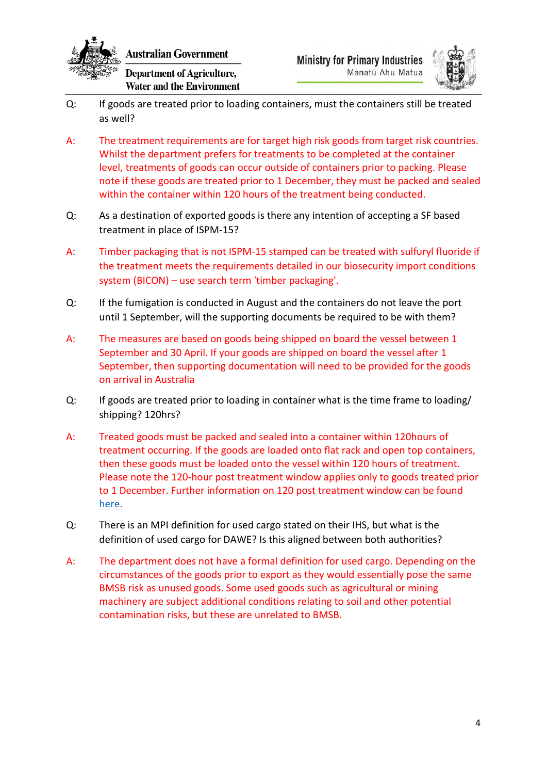

**Australian Government** 

**Department of Agriculture, Water and the Environment** 



- Q: If goods are treated prior to loading containers, must the containers still be treated as well?
- A: The treatment requirements are for target high risk goods from target risk countries. Whilst the department prefers for treatments to be completed at the container level, treatments of goods can occur outside of containers prior to packing. Please note if these goods are treated prior to 1 December, they must be packed and sealed within the container within 120 hours of the treatment being conducted.
- Q: As a destination of exported goods is there any intention of accepting a SF based treatment in place of ISPM-15?
- A: Timber packaging that is not ISPM-15 stamped can be treated with sulfuryl fluoride if the treatment meets the requirements detailed in our biosecurity import conditions system (BICON) – use search term 'timber packaging'.
- Q: If the fumigation is conducted in August and the containers do not leave the port until 1 September, will the supporting documents be required to be with them?
- A: The measures are based on goods being shipped on board the vessel between 1 September and 30 April. If your goods are shipped on board the vessel after 1 September, then supporting documentation will need to be provided for the goods on arrival in Australia
- Q: If goods are treated prior to loading in container what is the time frame to loading/ shipping? 120hrs?
- A: Treated goods must be packed and sealed into a container within 120hours of treatment occurring. If the goods are loaded onto flat rack and open top containers, then these goods must be loaded onto the vessel within 120 hours of treatment. Please note the 120-hour post treatment window applies only to goods treated prior to 1 December. Further information on 120 post treatment window can be found here.
- Q: There is an MPI definition for used cargo stated on their IHS, but what is the definition of used cargo for DAWE? Is this aligned between both authorities?
- A: The department does not have a formal definition for used cargo. Depending on the circumstances of the goods prior to export as they would essentially pose the same BMSB risk as unused goods. Some used goods such as agricultural or mining machinery are subject additional conditions relating to soil and other potential contamination risks, but these are unrelated to BMSB.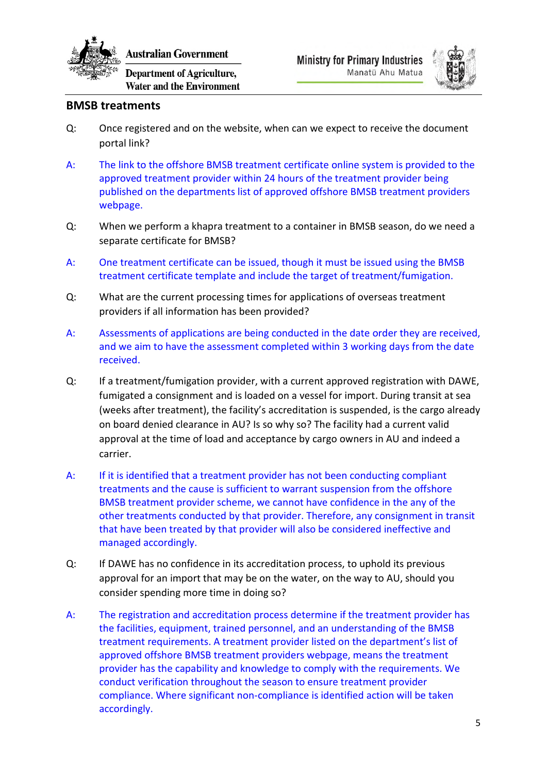

ustralian Government

**Department of Agriculture, Water and the Environment** 



#### **BMSB treatments**

- Q: Once registered and on the website, when can we expect to receive the document portal link?
- A: The link to the offshore BMSB treatment certificate online system is provided to the approved treatment provider within 24 hours of the treatment provider being published on the departments list of approved offshore BMSB treatment providers webpage.
- Q: When we perform a khapra treatment to a container in BMSB season, do we need a separate certificate for BMSB?
- A: One treatment certificate can be issued, though it must be issued using the BMSB treatment certificate template and include the target of treatment/fumigation.
- Q: What are the current processing times for applications of overseas treatment providers if all information has been provided?
- A: Assessments of applications are being conducted in the date order they are received, and we aim to have the assessment completed within 3 working days from the date received.
- Q: If a treatment/fumigation provider, with a current approved registration with DAWE, fumigated a consignment and is loaded on a vessel for import. During transit at sea (weeks after treatment), the facility's accreditation is suspended, is the cargo already on board denied clearance in AU? Is so why so? The facility had a current valid approval at the time of load and acceptance by cargo owners in AU and indeed a carrier.
- A: If it is identified that a treatment provider has not been conducting compliant treatments and the cause is sufficient to warrant suspension from the offshore BMSB treatment provider scheme, we cannot have confidence in the any of the other treatments conducted by that provider. Therefore, any consignment in transit that have been treated by that provider will also be considered ineffective and managed accordingly.
- Q: If DAWE has no confidence in its accreditation process, to uphold its previous approval for an import that may be on the water, on the way to AU, should you consider spending more time in doing so?
- A: The registration and accreditation process determine if the treatment provider has the facilities, equipment, trained personnel, and an understanding of the BMSB treatment requirements. A treatment provider listed on the department's list of approved offshore BMSB treatment providers webpage, means the treatment provider has the capability and knowledge to comply with the requirements. We conduct verification throughout the season to ensure treatment provider compliance. Where significant non-compliance is identified action will be taken accordingly.